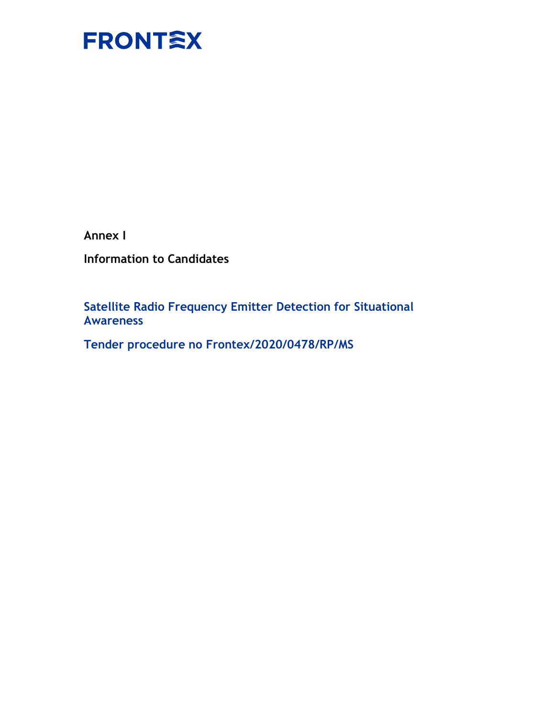

Annex I

Information to Candidates

Satellite Radio Frequency Emitter Detection for Situational Awareness

Tender procedure no Frontex/2020/0478/RP/MS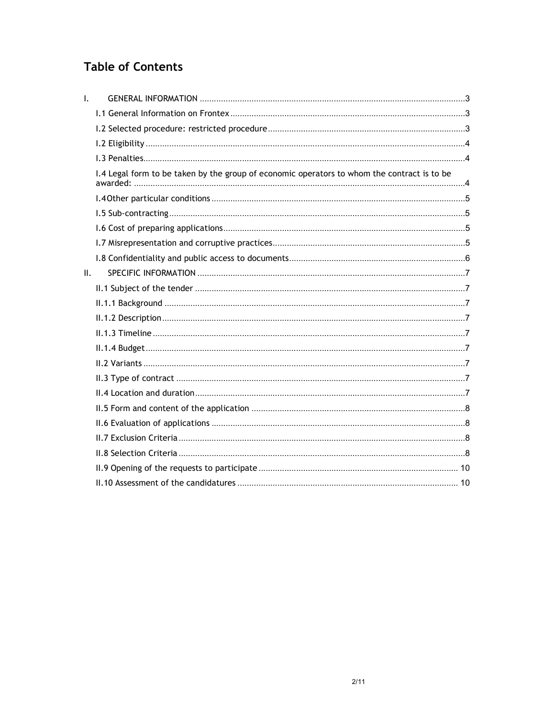# **Table of Contents**

| $\mathbf{I}$ . |                                                                                             |  |
|----------------|---------------------------------------------------------------------------------------------|--|
|                |                                                                                             |  |
|                |                                                                                             |  |
|                |                                                                                             |  |
|                |                                                                                             |  |
|                | I.4 Legal form to be taken by the group of economic operators to whom the contract is to be |  |
|                |                                                                                             |  |
|                |                                                                                             |  |
|                |                                                                                             |  |
|                |                                                                                             |  |
|                |                                                                                             |  |
| II.            |                                                                                             |  |
|                |                                                                                             |  |
|                |                                                                                             |  |
|                |                                                                                             |  |
|                |                                                                                             |  |
|                |                                                                                             |  |
|                |                                                                                             |  |
|                |                                                                                             |  |
|                |                                                                                             |  |
|                |                                                                                             |  |
|                |                                                                                             |  |
|                |                                                                                             |  |
|                |                                                                                             |  |
|                |                                                                                             |  |
|                |                                                                                             |  |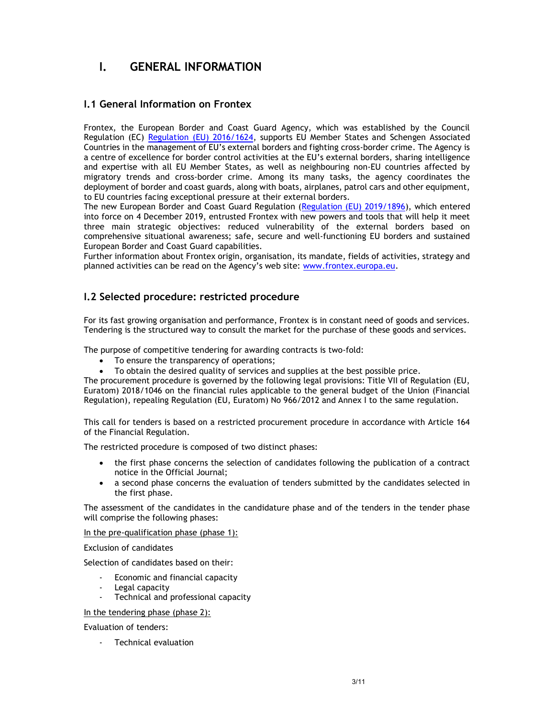# I. GENERAL INFORMATION

# I.1 General Information on Frontex

Frontex, the European Border and Coast Guard Agency, which was established by the Council Regulation (EC) Regulation (EU) 2016/1624, supports EU Member States and Schengen Associated Countries in the management of EU's external borders and fighting cross-border crime. The Agency is a centre of excellence for border control activities at the EU's external borders, sharing intelligence and expertise with all EU Member States, as well as neighbouring non-EU countries affected by migratory trends and cross-border crime. Among its many tasks, the agency coordinates the deployment of border and coast guards, along with boats, airplanes, patrol cars and other equipment, to EU countries facing exceptional pressure at their external borders.

The new European Border and Coast Guard Regulation (Regulation (EU) 2019/1896), which entered into force on 4 December 2019, entrusted Frontex with new powers and tools that will help it meet three main strategic objectives: reduced vulnerability of the external borders based on comprehensive situational awareness; safe, secure and well-functioning EU borders and sustained European Border and Coast Guard capabilities.

Further information about Frontex origin, organisation, its mandate, fields of activities, strategy and planned activities can be read on the Agency's web site: www.frontex.europa.eu.

# I.2 Selected procedure: restricted procedure

For its fast growing organisation and performance, Frontex is in constant need of goods and services. Tendering is the structured way to consult the market for the purchase of these goods and services.

The purpose of competitive tendering for awarding contracts is two-fold:

- To ensure the transparency of operations;
- To obtain the desired quality of services and supplies at the best possible price.

The procurement procedure is governed by the following legal provisions: Title VII of Regulation (EU, Euratom) 2018/1046 on the financial rules applicable to the general budget of the Union (Financial Regulation), repealing Regulation (EU, Euratom) No 966/2012 and Annex I to the same regulation.

This call for tenders is based on a restricted procurement procedure in accordance with Article 164 of the Financial Regulation.

The restricted procedure is composed of two distinct phases:

- the first phase concerns the selection of candidates following the publication of a contract notice in the Official Journal;
- a second phase concerns the evaluation of tenders submitted by the candidates selected in the first phase.

The assessment of the candidates in the candidature phase and of the tenders in the tender phase will comprise the following phases:

#### In the pre-qualification phase (phase 1):

Exclusion of candidates

Selection of candidates based on their:

- Economic and financial capacity
- Legal capacity
- Technical and professional capacity

#### In the tendering phase (phase 2):

Evaluation of tenders:

- Technical evaluation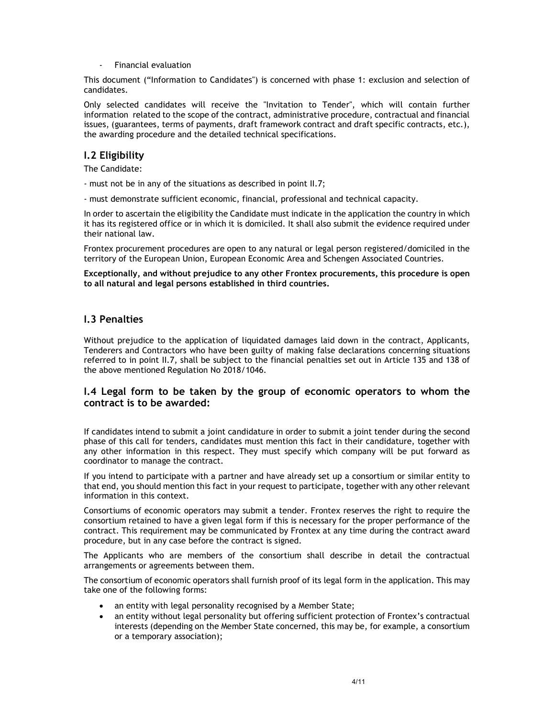- Financial evaluation

This document ("Information to Candidates") is concerned with phase 1: exclusion and selection of candidates.

Only selected candidates will receive the "Invitation to Tender", which will contain further information related to the scope of the contract, administrative procedure, contractual and financial issues, (guarantees, terms of payments, draft framework contract and draft specific contracts, etc.), the awarding procedure and the detailed technical specifications.

# I.2 Eligibility

The Candidate:

- must not be in any of the situations as described in point II.7;

- must demonstrate sufficient economic, financial, professional and technical capacity.

In order to ascertain the eligibility the Candidate must indicate in the application the country in which it has its registered office or in which it is domiciled. It shall also submit the evidence required under their national law.

Frontex procurement procedures are open to any natural or legal person registered/domiciled in the territory of the European Union, European Economic Area and Schengen Associated Countries.

Exceptionally, and without prejudice to any other Frontex procurements, this procedure is open to all natural and legal persons established in third countries.

# I.3 Penalties

Without prejudice to the application of liquidated damages laid down in the contract, Applicants, Tenderers and Contractors who have been guilty of making false declarations concerning situations referred to in point II.7, shall be subject to the financial penalties set out in Article 135 and 138 of the above mentioned Regulation No 2018/1046.

## I.4 Legal form to be taken by the group of economic operators to whom the contract is to be awarded:

If candidates intend to submit a joint candidature in order to submit a joint tender during the second phase of this call for tenders, candidates must mention this fact in their candidature, together with any other information in this respect. They must specify which company will be put forward as coordinator to manage the contract.

If you intend to participate with a partner and have already set up a consortium or similar entity to that end, you should mention this fact in your request to participate, together with any other relevant information in this context.

Consortiums of economic operators may submit a tender. Frontex reserves the right to require the consortium retained to have a given legal form if this is necessary for the proper performance of the contract. This requirement may be communicated by Frontex at any time during the contract award procedure, but in any case before the contract is signed.

The Applicants who are members of the consortium shall describe in detail the contractual arrangements or agreements between them.

The consortium of economic operators shall furnish proof of its legal form in the application. This may take one of the following forms:

- an entity with legal personality recognised by a Member State;
- an entity without legal personality but offering sufficient protection of Frontex's contractual interests (depending on the Member State concerned, this may be, for example, a consortium or a temporary association);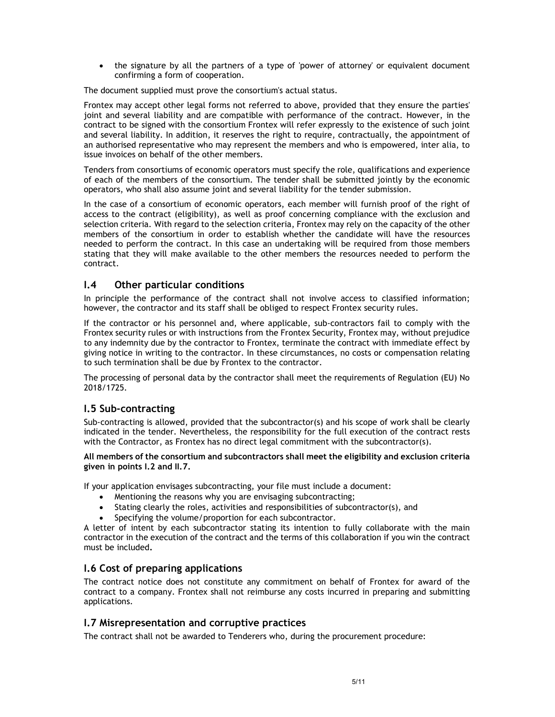• the signature by all the partners of a type of 'power of attorney' or equivalent document confirming a form of cooperation.

The document supplied must prove the consortium's actual status.

Frontex may accept other legal forms not referred to above, provided that they ensure the parties' joint and several liability and are compatible with performance of the contract. However, in the contract to be signed with the consortium Frontex will refer expressly to the existence of such joint and several liability. In addition, it reserves the right to require, contractually, the appointment of an authorised representative who may represent the members and who is empowered, inter alia, to issue invoices on behalf of the other members.

Tenders from consortiums of economic operators must specify the role, qualifications and experience of each of the members of the consortium. The tender shall be submitted jointly by the economic operators, who shall also assume joint and several liability for the tender submission.

In the case of a consortium of economic operators, each member will furnish proof of the right of access to the contract (eligibility), as well as proof concerning compliance with the exclusion and selection criteria. With regard to the selection criteria, Frontex may rely on the capacity of the other members of the consortium in order to establish whether the candidate will have the resources needed to perform the contract. In this case an undertaking will be required from those members stating that they will make available to the other members the resources needed to perform the contract.

# I.4 Other particular conditions

In principle the performance of the contract shall not involve access to classified information; however, the contractor and its staff shall be obliged to respect Frontex security rules.

If the contractor or his personnel and, where applicable, sub-contractors fail to comply with the Frontex security rules or with instructions from the Frontex Security, Frontex may, without prejudice to any indemnity due by the contractor to Frontex, terminate the contract with immediate effect by giving notice in writing to the contractor. In these circumstances, no costs or compensation relating to such termination shall be due by Frontex to the contractor.

The processing of personal data by the contractor shall meet the requirements of Regulation (EU) No 2018/1725.

# I.5 Sub-contracting

Sub-contracting is allowed, provided that the subcontractor(s) and his scope of work shall be clearly indicated in the tender. Nevertheless, the responsibility for the full execution of the contract rests with the Contractor, as Frontex has no direct legal commitment with the subcontractor(s).

#### All members of the consortium and subcontractors shall meet the eligibility and exclusion criteria given in points I.2 and II.7.

If your application envisages subcontracting, your file must include a document:

- Mentioning the reasons why you are envisaging subcontracting;
- Stating clearly the roles, activities and responsibilities of subcontractor(s), and
- Specifying the volume/proportion for each subcontractor.

A letter of intent by each subcontractor stating its intention to fully collaborate with the main contractor in the execution of the contract and the terms of this collaboration if you win the contract must be included.

### I.6 Cost of preparing applications

The contract notice does not constitute any commitment on behalf of Frontex for award of the contract to a company. Frontex shall not reimburse any costs incurred in preparing and submitting applications.

# I.7 Misrepresentation and corruptive practices

The contract shall not be awarded to Tenderers who, during the procurement procedure: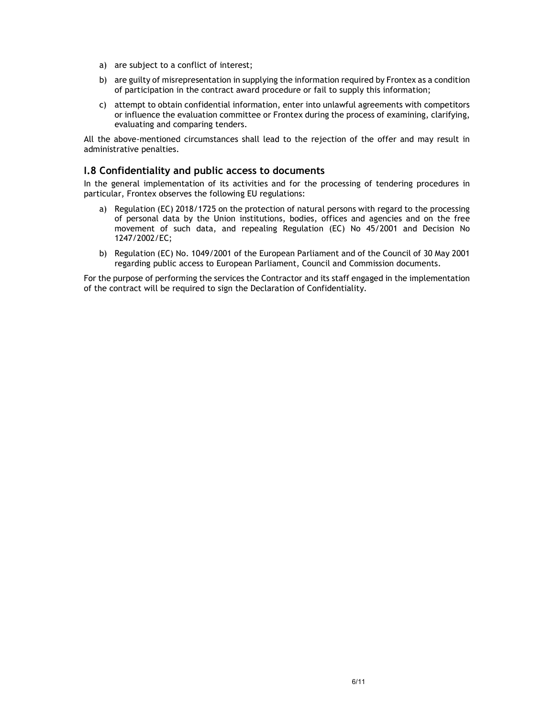- a) are subject to a conflict of interest;
- b) are guilty of misrepresentation in supplying the information required by Frontex as a condition of participation in the contract award procedure or fail to supply this information;
- c) attempt to obtain confidential information, enter into unlawful agreements with competitors or influence the evaluation committee or Frontex during the process of examining, clarifying, evaluating and comparing tenders.

All the above-mentioned circumstances shall lead to the rejection of the offer and may result in administrative penalties.

## I.8 Confidentiality and public access to documents

In the general implementation of its activities and for the processing of tendering procedures in particular, Frontex observes the following EU regulations:

- a) Regulation (EC) 2018/1725 on the protection of natural persons with regard to the processing of personal data by the Union institutions, bodies, offices and agencies and on the free movement of such data, and repealing Regulation (EC) No 45/2001 and Decision No 1247/2002/EC;
- b) Regulation (EC) No. 1049/2001 of the European Parliament and of the Council of 30 May 2001 regarding public access to European Parliament, Council and Commission documents.

For the purpose of performing the services the Contractor and its staff engaged in the implementation of the contract will be required to sign the Declaration of Confidentiality.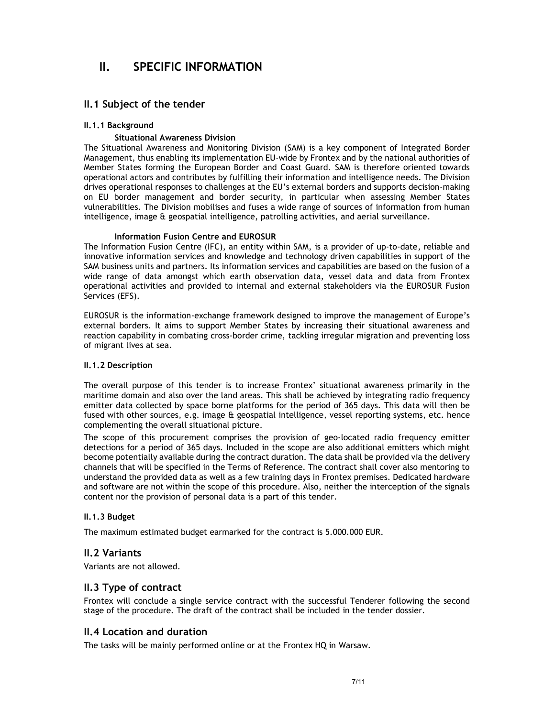# II. SPECIFIC INFORMATION

# II.1 Subject of the tender

#### II.1.1 Background

#### Situational Awareness Division

The Situational Awareness and Monitoring Division (SAM) is a key component of Integrated Border Management, thus enabling its implementation EU-wide by Frontex and by the national authorities of Member States forming the European Border and Coast Guard. SAM is therefore oriented towards operational actors and contributes by fulfilling their information and intelligence needs. The Division drives operational responses to challenges at the EU's external borders and supports decision-making on EU border management and border security, in particular when assessing Member States vulnerabilities. The Division mobilises and fuses a wide range of sources of information from human intelligence, image & geospatial intelligence, patrolling activities, and aerial surveillance.

#### Information Fusion Centre and EUROSUR

The Information Fusion Centre (IFC), an entity within SAM, is a provider of up-to-date, reliable and innovative information services and knowledge and technology driven capabilities in support of the SAM business units and partners. Its information services and capabilities are based on the fusion of a wide range of data amongst which earth observation data, vessel data and data from Frontex operational activities and provided to internal and external stakeholders via the EUROSUR Fusion Services (EFS).

EUROSUR is the information-exchange framework designed to improve the management of Europe's external borders. It aims to support Member States by increasing their situational awareness and reaction capability in combating cross-border crime, tackling irregular migration and preventing loss of migrant lives at sea.

#### II.1.2 Description

The overall purpose of this tender is to increase Frontex' situational awareness primarily in the maritime domain and also over the land areas. This shall be achieved by integrating radio frequency emitter data collected by space borne platforms for the period of 365 days. This data will then be fused with other sources, e.g. image & geospatial intelligence, vessel reporting systems, etc. hence complementing the overall situational picture.

The scope of this procurement comprises the provision of geo-located radio frequency emitter detections for a period of 365 days. Included in the scope are also additional emitters which might become potentially available during the contract duration. The data shall be provided via the delivery channels that will be specified in the Terms of Reference. The contract shall cover also mentoring to understand the provided data as well as a few training days in Frontex premises. Dedicated hardware and software are not within the scope of this procedure. Also, neither the interception of the signals content nor the provision of personal data is a part of this tender.

### II.1.3 Budget

The maximum estimated budget earmarked for the contract is 5.000.000 EUR.

### II.2 Variants

Variants are not allowed.

# II.3 Type of contract

Frontex will conclude a single service contract with the successful Tenderer following the second stage of the procedure. The draft of the contract shall be included in the tender dossier.

# II.4 Location and duration

The tasks will be mainly performed online or at the Frontex HQ in Warsaw.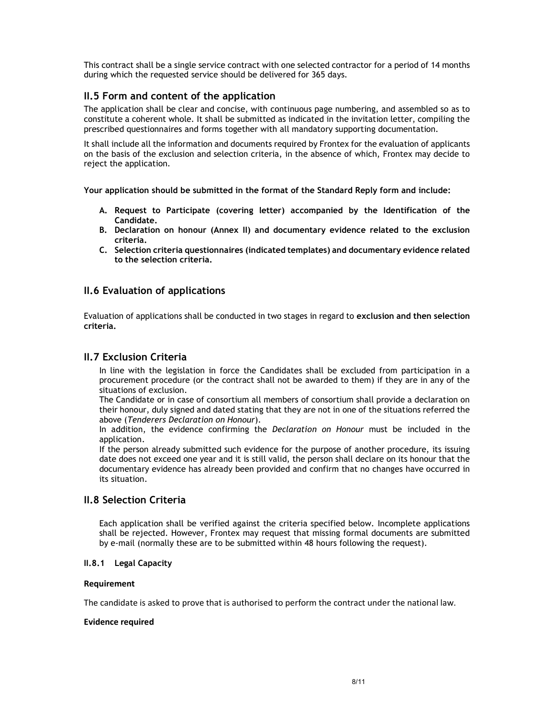This contract shall be a single service contract with one selected contractor for a period of 14 months during which the requested service should be delivered for 365 days.

# II.5 Form and content of the application

The application shall be clear and concise, with continuous page numbering, and assembled so as to constitute a coherent whole. It shall be submitted as indicated in the invitation letter, compiling the prescribed questionnaires and forms together with all mandatory supporting documentation.

It shall include all the information and documents required by Frontex for the evaluation of applicants on the basis of the exclusion and selection criteria, in the absence of which, Frontex may decide to reject the application.

Your application should be submitted in the format of the Standard Reply form and include:

- A. Request to Participate (covering letter) accompanied by the Identification of the Candidate.
- B. Declaration on honour (Annex II) and documentary evidence related to the exclusion criteria.
- C. Selection criteria questionnaires (indicated templates) and documentary evidence related to the selection criteria.

# II.6 Evaluation of applications

Evaluation of applications shall be conducted in two stages in regard to exclusion and then selection criteria.

# II.7 Exclusion Criteria

In line with the legislation in force the Candidates shall be excluded from participation in a procurement procedure (or the contract shall not be awarded to them) if they are in any of the situations of exclusion.

The Candidate or in case of consortium all members of consortium shall provide a declaration on their honour, duly signed and dated stating that they are not in one of the situations referred the above (Tenderers Declaration on Honour).

In addition, the evidence confirming the *Declaration on Honour* must be included in the application.

If the person already submitted such evidence for the purpose of another procedure, its issuing date does not exceed one year and it is still valid, the person shall declare on its honour that the documentary evidence has already been provided and confirm that no changes have occurred in its situation.

# II.8 Selection Criteria

Each application shall be verified against the criteria specified below. Incomplete applications shall be rejected. However, Frontex may request that missing formal documents are submitted by e-mail (normally these are to be submitted within 48 hours following the request).

### II.8.1 Legal Capacity

#### Requirement

The candidate is asked to prove that is authorised to perform the contract under the national law.

#### Evidence required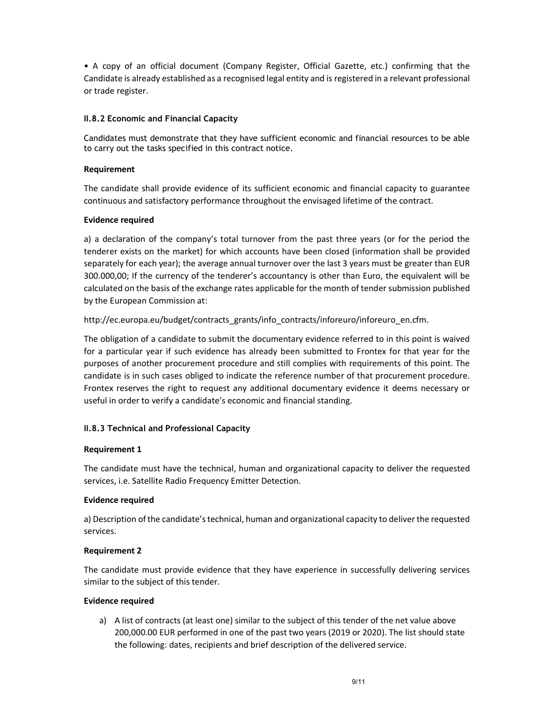• A copy of an official document (Company Register, Official Gazette, etc.) confirming that the Candidate is already established as a recognised legal entity and is registered in a relevant professional or trade register.

### II.8.2 Economic and Financial Capacity

Candidates must demonstrate that they have sufficient economic and financial resources to be able to carry out the tasks specified in this contract notice.

## Requirement

The candidate shall provide evidence of its sufficient economic and financial capacity to guarantee continuous and satisfactory performance throughout the envisaged lifetime of the contract.

## Evidence required

a) a declaration of the company's total turnover from the past three years (or for the period the tenderer exists on the market) for which accounts have been closed (information shall be provided separately for each year); the average annual turnover over the last 3 years must be greater than EUR 300.000,00; If the currency of the tenderer's accountancy is other than Euro, the equivalent will be calculated on the basis of the exchange rates applicable for the month of tender submission published by the European Commission at:

# http://ec.europa.eu/budget/contracts\_grants/info\_contracts/inforeuro/inforeuro\_en.cfm.

The obligation of a candidate to submit the documentary evidence referred to in this point is waived for a particular year if such evidence has already been submitted to Frontex for that year for the purposes of another procurement procedure and still complies with requirements of this point. The candidate is in such cases obliged to indicate the reference number of that procurement procedure. Frontex reserves the right to request any additional documentary evidence it deems necessary or useful in order to verify a candidate's economic and financial standing.

# II.8.3 Technical and Professional Capacity

### Requirement 1

The candidate must have the technical, human and organizational capacity to deliver the requested services, i.e. Satellite Radio Frequency Emitter Detection.

### Evidence required

a) Description of the candidate's technical, human and organizational capacity to deliver the requested services.

### Requirement 2

The candidate must provide evidence that they have experience in successfully delivering services similar to the subject of this tender.

### Evidence required

a) A list of contracts (at least one) similar to the subject of this tender of the net value above 200,000.00 EUR performed in one of the past two years (2019 or 2020). The list should state the following: dates, recipients and brief description of the delivered service.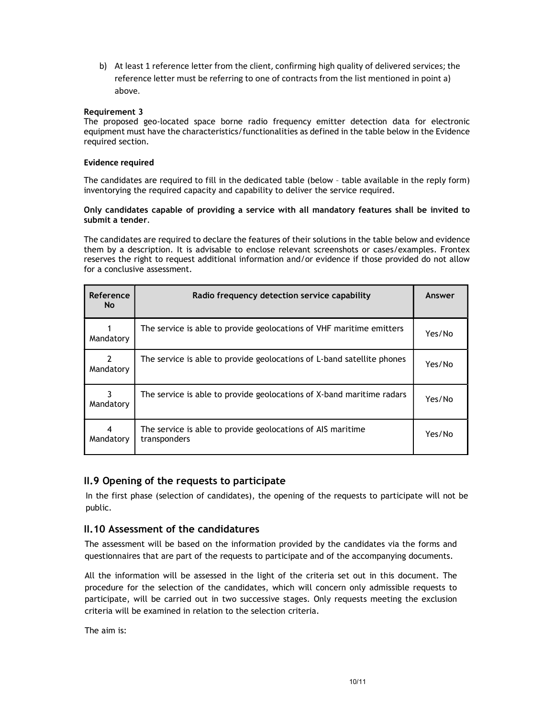b) At least 1 reference letter from the client, confirming high quality of delivered services; the reference letter must be referring to one of contracts from the list mentioned in point a) above.

### Requirement 3

The proposed geo-located space borne radio frequency emitter detection data for electronic equipment must have the characteristics/functionalities as defined in the table below in the Evidence required section.

#### Evidence required

The candidates are required to fill in the dedicated table (below – table available in the reply form) inventorying the required capacity and capability to deliver the service required.

#### Only candidates capable of providing a service with all mandatory features shall be invited to submit a tender.

The candidates are required to declare the features of their solutions in the table below and evidence them by a description. It is advisable to enclose relevant screenshots or cases/examples. Frontex reserves the right to request additional information and/or evidence if those provided do not allow for a conclusive assessment.

| Reference<br><b>No</b> | Radio frequency detection service capability                                | Answer |
|------------------------|-----------------------------------------------------------------------------|--------|
| Mandatory              | The service is able to provide geolocations of VHF maritime emitters        | Yes/No |
| 2<br>Mandatory         | The service is able to provide geolocations of L-band satellite phones      | Yes/No |
| Mandatory              | The service is able to provide geolocations of X-band maritime radars       | Yes/No |
| 4<br>Mandatory         | The service is able to provide geolocations of AIS maritime<br>transponders | Yes/No |

# II.9 Opening of the requests to participate

In the first phase (selection of candidates), the opening of the requests to participate will not be public.

# II.10 Assessment of the candidatures

The assessment will be based on the information provided by the candidates via the forms and questionnaires that are part of the requests to participate and of the accompanying documents.

All the information will be assessed in the light of the criteria set out in this document. The procedure for the selection of the candidates, which will concern only admissible requests to participate, will be carried out in two successive stages. Only requests meeting the exclusion criteria will be examined in relation to the selection criteria.

The aim is: